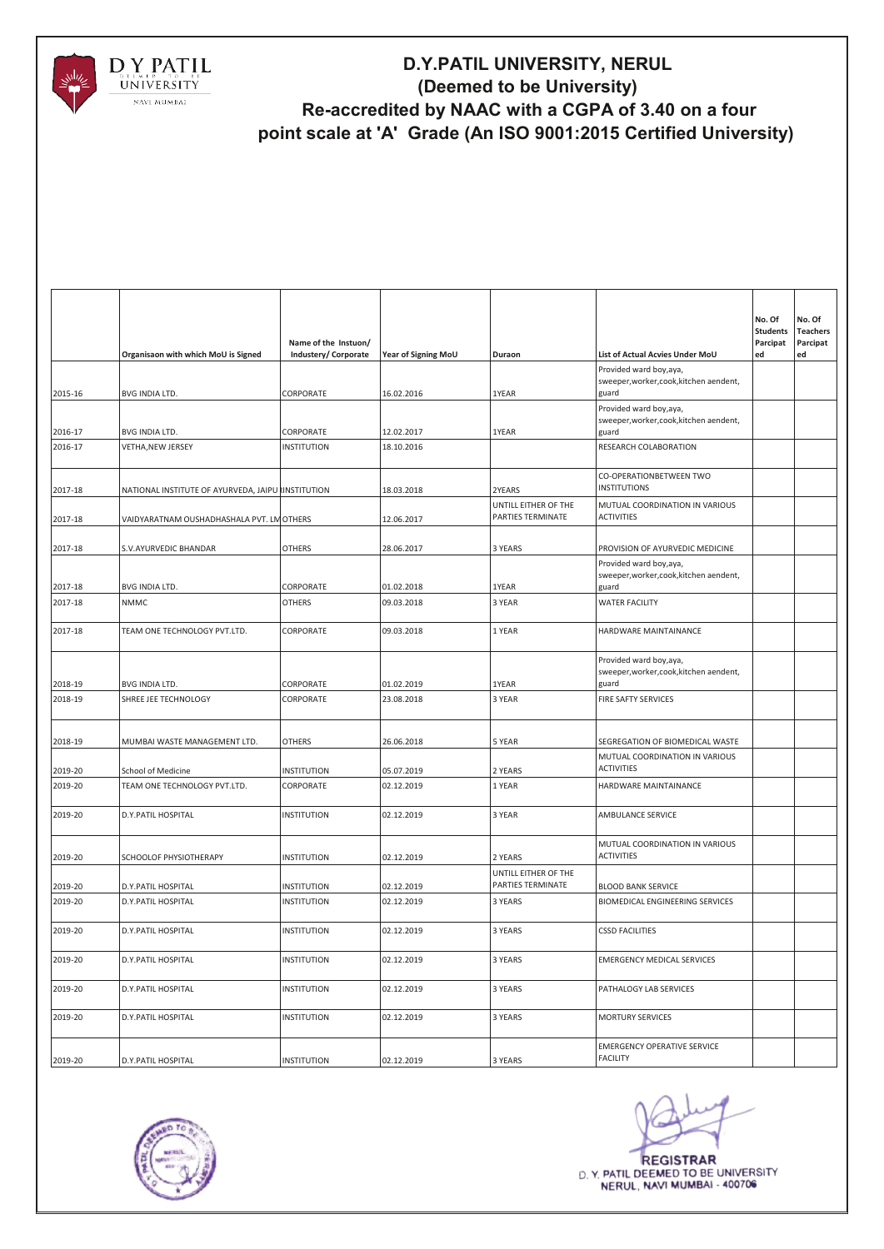

|         | Organisaon with which MoU is Signed                | Name of the Instuon/<br>Industery/ Corporate | Year of Signing MoU | Duraon                                    | List of Actual Acvies Under MoU                                             | No. Of<br><b>Students</b><br>Parcipat<br>ed | No. Of<br><b>Teachers</b><br>Parcipat<br>ed |
|---------|----------------------------------------------------|----------------------------------------------|---------------------|-------------------------------------------|-----------------------------------------------------------------------------|---------------------------------------------|---------------------------------------------|
| 2015-16 | <b>BVG INDIA LTD.</b>                              | CORPORATE                                    | 16.02.2016          | 1YEAR                                     | Provided ward boy, aya,<br>sweeper, worker, cook, kitchen aendent,<br>guard |                                             |                                             |
|         |                                                    |                                              |                     |                                           | Provided ward boy, aya,<br>sweeper, worker, cook, kitchen aendent,          |                                             |                                             |
| 2016-17 | BVG INDIA LTD.                                     | CORPORATE                                    | 12.02.2017          | 1YEAR                                     | guard                                                                       |                                             |                                             |
| 2016-17 | <b>VETHA, NEW JERSEY</b>                           | <b>INSTITUTION</b>                           | 18.10.2016          |                                           | RESEARCH COLABORATION                                                       |                                             |                                             |
| 2017-18 | NATIONAL INSTITUTE OF AYURVEDA, JAIPU RINSTITUTION |                                              | 18.03.2018          | 2YEARS                                    | CO-OPERATIONBETWEEN TWO<br><b>INSTITUTIONS</b>                              |                                             |                                             |
| 2017-18 | VAIDYARATNAM OUSHADHASHALA PVT. LM OTHERS          |                                              | 12.06.2017          | UNTILL EITHER OF THE<br>PARTIES TERMINATE | MUTUAL COORDINATION IN VARIOUS<br><b>ACTIVITIES</b>                         |                                             |                                             |
| 2017-18 | S.V.AYURVEDIC BHANDAR                              | <b>OTHERS</b>                                | 28.06.2017          | 3 YEARS                                   | PROVISION OF AYURVEDIC MEDICINE                                             |                                             |                                             |
| 2017-18 | BVG INDIA LTD.                                     | CORPORATE                                    | 01.02.2018          | 1YEAR                                     | Provided ward boy, aya,<br>sweeper, worker, cook, kitchen aendent,<br>guard |                                             |                                             |
| 2017-18 | <b>NMMC</b>                                        | <b>OTHERS</b>                                | 09.03.2018          | 3 YEAR                                    | <b>WATER FACILITY</b>                                                       |                                             |                                             |
| 2017-18 | TEAM ONE TECHNOLOGY PVT.LTD.                       | CORPORATE                                    | 09.03.2018          | 1 YEAR                                    | HARDWARE MAINTAINANCE                                                       |                                             |                                             |
| 2018-19 | BVG INDIA LTD.                                     | CORPORATE                                    | 01.02.2019          | 1YEAR                                     | Provided ward boy, aya,<br>sweeper, worker, cook, kitchen aendent,<br>guard |                                             |                                             |
| 2018-19 | SHREE JEE TECHNOLOGY                               | CORPORATE                                    | 23.08.2018          | 3 YEAR                                    | FIRE SAFTY SERVICES                                                         |                                             |                                             |
| 2018-19 | MUMBAI WASTE MANAGEMENT LTD.                       | <b>OTHERS</b>                                | 26.06.2018          | 5 YEAR                                    | SEGREGATION OF BIOMEDICAL WASTE                                             |                                             |                                             |
| 2019-20 | School of Medicine                                 | <b>INSTITUTION</b>                           | 05.07.2019          | 2 YEARS                                   | MUTUAL COORDINATION IN VARIOUS<br><b>ACTIVITIES</b>                         |                                             |                                             |
| 2019-20 | TEAM ONE TECHNOLOGY PVT.LTD.                       | CORPORATE                                    | 02.12.2019          | 1 YEAR                                    | HARDWARE MAINTAINANCE                                                       |                                             |                                             |
| 2019-20 | D.Y.PATIL HOSPITAL                                 | <b>INSTITUTION</b>                           | 02.12.2019          | 3 YEAR                                    | AMBULANCE SERVICE                                                           |                                             |                                             |
| 2019-20 | SCHOOLOF PHYSIOTHERAPY                             | <b>INSTITUTION</b>                           | 02.12.2019          | 2 YEARS                                   | MUTUAL COORDINATION IN VARIOUS<br><b>ACTIVITIES</b>                         |                                             |                                             |
| 2019-20 | D.Y.PATIL HOSPITAL                                 | <b>INSTITUTION</b>                           | 02.12.2019          | UNTILL EITHER OF THE<br>PARTIES TERMINATE | <b>BLOOD BANK SERVICE</b>                                                   |                                             |                                             |
| 2019-20 | D.Y.PATIL HOSPITAL                                 | <b>INSTITUTION</b>                           | 02.12.2019          | 3 YEARS                                   | BIOMEDICAL ENGINEERING SERVICES                                             |                                             |                                             |
| 2019-20 | D.Y.PATIL HOSPITAL                                 | <b>INSTITUTION</b>                           | 02.12.2019          | 3 YEARS                                   | <b>CSSD FACILITIES</b>                                                      |                                             |                                             |
| 2019-20 | D.Y.PATIL HOSPITAL                                 | <b>INSTITUTION</b>                           | 02.12.2019          | 3 YEARS                                   | <b>EMERGENCY MEDICAL SERVICES</b>                                           |                                             |                                             |
| 2019-20 | D.Y.PATIL HOSPITAL                                 | <b>INSTITUTION</b>                           | 02.12.2019          | 3 YEARS                                   | PATHALOGY LAB SERVICES                                                      |                                             |                                             |
| 2019-20 | D.Y.PATIL HOSPITAL                                 | <b>INSTITUTION</b>                           | 02.12.2019          | 3 YEARS                                   | <b>MORTURY SERVICES</b>                                                     |                                             |                                             |
| 2019-20 | D.Y.PATIL HOSPITAL                                 | <b>INSTITUTION</b>                           | 02.12.2019          | 3 YEARS                                   | <b>EMERGENCY OPERATIVE SERVICE</b><br><b>FACILITY</b>                       |                                             |                                             |



**REGISTRAR** D. Y. PATIL DEEMED TO BE UNIVERSITY NERUL, NAVI MUMBAI - 400706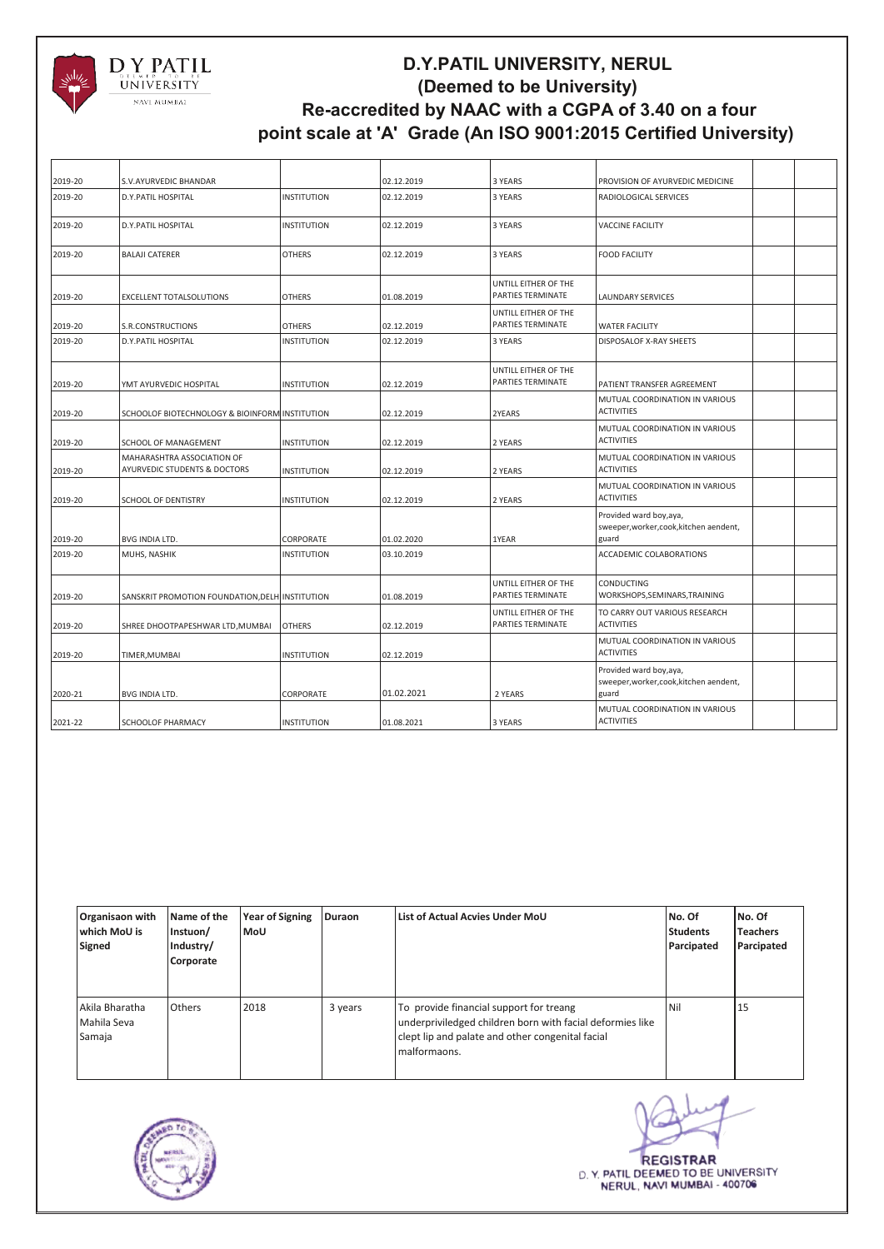

| 2019-20 | S.V.AYURVEDIC BHANDAR                                                 |                    | 02.12.2019 | 3 YEARS                                          | PROVISION OF AYURVEDIC MEDICINE                                             |  |
|---------|-----------------------------------------------------------------------|--------------------|------------|--------------------------------------------------|-----------------------------------------------------------------------------|--|
| 2019-20 | <b>D.Y.PATIL HOSPITAL</b>                                             | <b>INSTITUTION</b> | 02.12.2019 | 3 YEARS                                          | RADIOLOGICAL SERVICES                                                       |  |
| 2019-20 | <b>D.Y.PATIL HOSPITAL</b>                                             | <b>INSTITUTION</b> | 02.12.2019 | 3 YEARS                                          | <b>VACCINE FACILITY</b>                                                     |  |
| 2019-20 | <b>BALAJI CATERER</b>                                                 | <b>OTHERS</b>      | 02.12.2019 | 3 YEARS                                          | <b>FOOD FACILITY</b>                                                        |  |
| 2019-20 | <b>EXCELLENT TOTALSOLUTIONS</b>                                       | <b>OTHERS</b>      | 01.08.2019 | UNTILL EITHER OF THE<br>PARTIES TERMINATE        | <b>LAUNDARY SERVICES</b>                                                    |  |
| 2019-20 | S.R.CONSTRUCTIONS                                                     | <b>OTHERS</b>      | 02.12.2019 | UNTILL EITHER OF THE<br><b>PARTIES TERMINATE</b> | <b>WATER FACILITY</b>                                                       |  |
| 2019-20 | <b>D.Y.PATIL HOSPITAL</b>                                             | <b>INSTITUTION</b> | 02.12.2019 | 3 YEARS                                          | <b>DISPOSALOF X-RAY SHEETS</b>                                              |  |
| 2019-20 | YMT AYURVEDIC HOSPITAL                                                | <b>INSTITUTION</b> | 02.12.2019 | UNTILL EITHER OF THE<br><b>PARTIES TERMINATE</b> | PATIENT TRANSFER AGREEMENT                                                  |  |
| 2019-20 | SCHOOLOF BIOTECHNOLOGY & BIOINFORM INSTITUTION                        |                    | 02.12.2019 | 2YEARS                                           | MUTUAL COORDINATION IN VARIOUS<br><b>ACTIVITIES</b>                         |  |
| 2019-20 | SCHOOL OF MANAGEMENT                                                  | <b>INSTITUTION</b> | 02.12.2019 | 2 YEARS                                          | MUTUAL COORDINATION IN VARIOUS<br><b>ACTIVITIES</b>                         |  |
| 2019-20 | MAHARASHTRA ASSOCIATION OF<br><b>AYURVEDIC STUDENTS &amp; DOCTORS</b> | <b>INSTITUTION</b> | 02.12.2019 | 2 YEARS                                          | MUTUAL COORDINATION IN VARIOUS<br><b>ACTIVITIES</b>                         |  |
| 2019-20 | <b>SCHOOL OF DENTISTRY</b>                                            | <b>INSTITUTION</b> | 02.12.2019 | 2 YEARS                                          | MUTUAL COORDINATION IN VARIOUS<br><b>ACTIVITIES</b>                         |  |
| 2019-20 | BVG INDIA LTD.                                                        | CORPORATE          | 01.02.2020 | 1YEAR                                            | Provided ward boy, aya,<br>sweeper, worker, cook, kitchen aendent,<br>guard |  |
| 2019-20 | MUHS, NASHIK                                                          | <b>INSTITUTION</b> | 03.10.2019 |                                                  | ACCADEMIC COLABORATIONS                                                     |  |
| 2019-20 | SANSKRIT PROMOTION FOUNDATION, DELH INSTITUTION                       |                    | 01.08.2019 | UNTILL EITHER OF THE<br>PARTIES TERMINATE        | CONDUCTING<br>WORKSHOPS, SEMINARS, TRAINING                                 |  |
| 2019-20 | SHREE DHOOTPAPESHWAR LTD, MUMBAI                                      | <b>OTHERS</b>      | 02.12.2019 | UNTILL EITHER OF THE<br><b>PARTIES TERMINATE</b> | TO CARRY OUT VARIOUS RESEARCH<br><b>ACTIVITIES</b>                          |  |
| 2019-20 | TIMER, MUMBAI                                                         | <b>INSTITUTION</b> | 02.12.2019 |                                                  | MUTUAL COORDINATION IN VARIOUS<br><b>ACTIVITIES</b>                         |  |
| 2020-21 | BVG INDIA LTD.                                                        | CORPORATE          | 01.02.2021 | 2 YEARS                                          | Provided ward boy, aya,<br>sweeper, worker, cook, kitchen aendent,<br>guard |  |
| 2021-22 | <b>SCHOOLOF PHARMACY</b>                                              | <b>INSTITUTION</b> | 01.08.2021 | 3 YEARS                                          | MUTUAL COORDINATION IN VARIOUS<br><b>ACTIVITIES</b>                         |  |

| Organisaon with<br>which MoU is<br>Signed | Name of the<br>Instuon/<br>Industry/<br>Corporate | <b>Year of Signing</b><br>MoU | <b>Duraon</b> | List of Actual Acvies Under MoU                                                                                                                                          | No. Of<br><b>Students</b><br>Parcipated | No. Of<br><b>Teachers</b><br>Parcipated |
|-------------------------------------------|---------------------------------------------------|-------------------------------|---------------|--------------------------------------------------------------------------------------------------------------------------------------------------------------------------|-----------------------------------------|-----------------------------------------|
| Akila Bharatha<br>Mahila Seva<br>Samaja   | Others                                            | 2018                          | 3 years       | To provide financial support for treang<br>underpriviledged children born with facial deformies like<br>clept lip and palate and other congenital facial<br>malformaons. | Nil                                     | 15                                      |



**REGISTRAR** D. Y. PATIL DEEMED TO BE UNIVERSITY NERUL, NAVI MUMBAI - 400706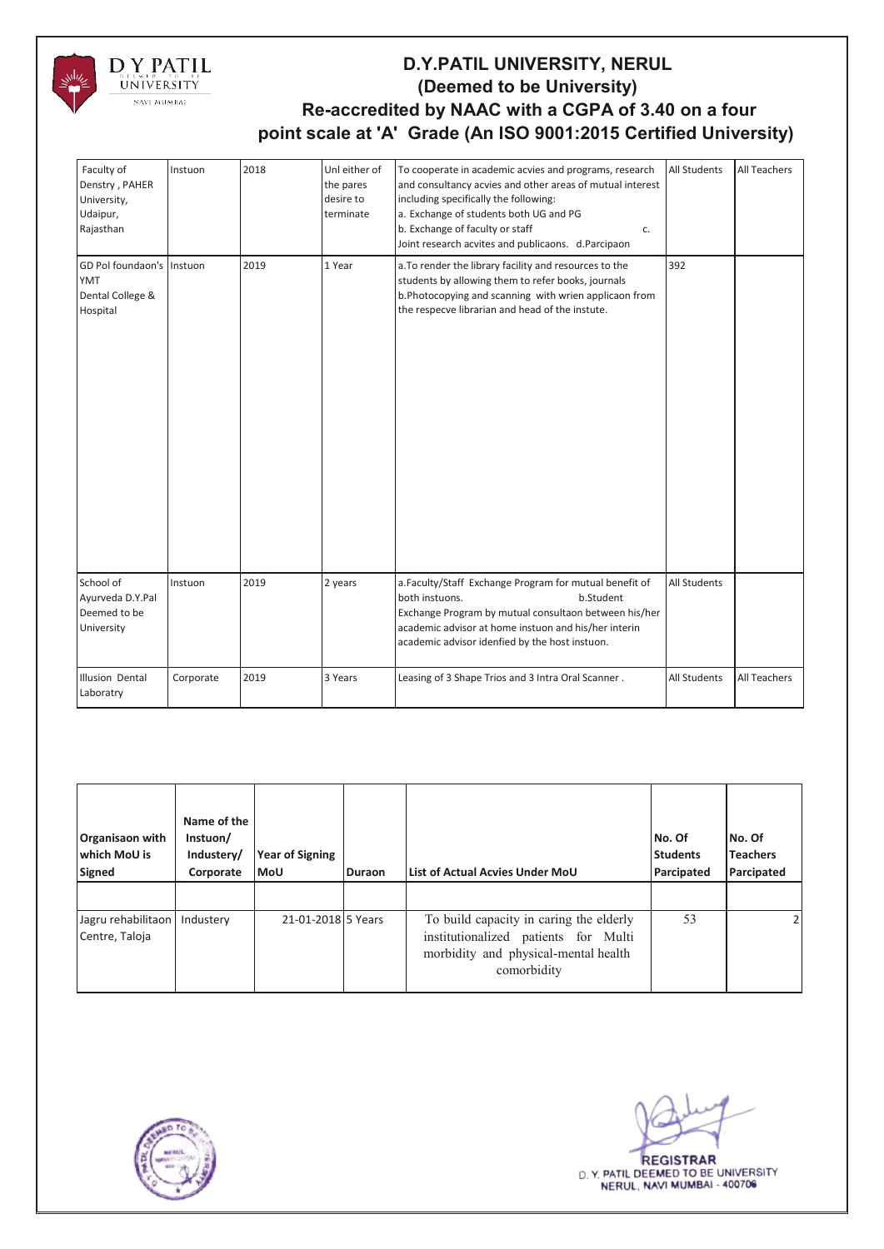

| Faculty of<br>Denstry, PAHER<br>University,<br>Udaipur,<br>Rajasthan    | Instuon   | 2018 | Unl either of<br>the pares<br>desire to<br>terminate | To cooperate in academic acvies and programs, research<br>and consultancy acvies and other areas of mutual interest<br>including specifically the following:<br>a. Exchange of students both UG and PG<br>b. Exchange of faculty or staff<br>c.<br>Joint research acvites and publicaons. d.Parcipaon | All Students | All Teachers |
|-------------------------------------------------------------------------|-----------|------|------------------------------------------------------|-------------------------------------------------------------------------------------------------------------------------------------------------------------------------------------------------------------------------------------------------------------------------------------------------------|--------------|--------------|
| GD Pol foundaon's Instuon<br><b>YMT</b><br>Dental College &<br>Hospital |           | 2019 | 1 Year                                               | a. To render the library facility and resources to the<br>students by allowing them to refer books, journals<br>b.Photocopying and scanning with wrien applicaon from<br>the respecve librarian and head of the instute.                                                                              | 392          |              |
| School of<br>Ayurveda D.Y.Pal<br>Deemed to be<br>University             | Instuon   | 2019 | 2 years                                              | a.Faculty/Staff Exchange Program for mutual benefit of<br>both instuons.<br>b.Student<br>Exchange Program by mutual consultaon between his/her<br>academic advisor at home instuon and his/her interin<br>academic advisor idenfied by the host instuon.                                              | All Students |              |
| Illusion Dental<br>Laboratry                                            | Corporate | 2019 | 3 Years                                              | Leasing of 3 Shape Trios and 3 Intra Oral Scanner.                                                                                                                                                                                                                                                    | All Students | All Teachers |

| Organisaon with<br>which MoU is<br>Signed | Name of the<br>Instuon/<br>Industery/<br>Corporate | <b>Year of Signing</b><br><b>MoU</b> | <b>Duraon</b> | List of Actual Acvies Under MoU                                                                                                        | No. Of<br><b>Students</b><br>Parcipated | No. Of<br><b>Teachers</b><br>Parcipated |
|-------------------------------------------|----------------------------------------------------|--------------------------------------|---------------|----------------------------------------------------------------------------------------------------------------------------------------|-----------------------------------------|-----------------------------------------|
| Jagru rehabilitaon<br>Centre, Taloja      | Industery                                          | 21-01-2018 5 Years                   |               | To build capacity in caring the elderly<br>institutionalized patients for Multi<br>morbidity and physical-mental health<br>comorbidity | 53                                      | 21                                      |



**REGISTRAR** D. Y. PATIL DEEMED TO BE UNIVERSITY NERUL, NAVI MUMBAI - 400706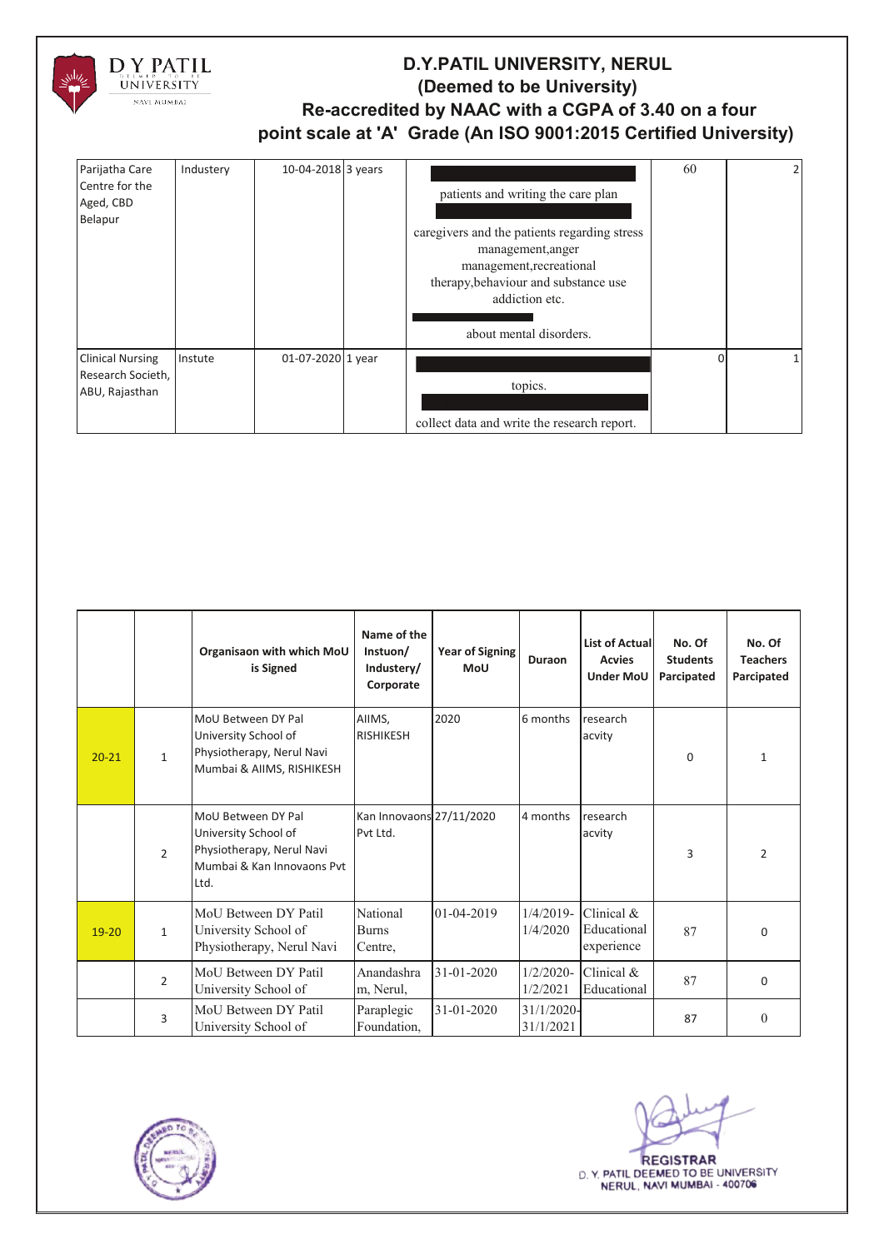

| Parijatha Care<br>Centre for the<br>Aged, CBD<br>Belapur       | Industery | 10-04-2018 3 years | patients and writing the care plan<br>caregivers and the patients regarding stress<br>management, anger<br>management, recreational<br>therapy, behaviour and substance use<br>addiction etc.<br>about mental disorders. | 60       | 21 |
|----------------------------------------------------------------|-----------|--------------------|--------------------------------------------------------------------------------------------------------------------------------------------------------------------------------------------------------------------------|----------|----|
| <b>Clinical Nursing</b><br>Research Societh,<br>ABU, Rajasthan | Instute   | 01-07-2020 1 year  | topics.<br>collect data and write the research report.                                                                                                                                                                   | $\Omega$ |    |

|           |                | Organisaon with which MoU<br>is Signed                                                                        | Name of the<br>Instuon/<br>Industery/<br>Corporate | Year of Signing<br><b>MoU</b> | Duraon                     | <b>List of Actual</b><br><b>Acvies</b><br><b>Under MoU</b> | No. Of<br><b>Students</b><br>Parcipated | No. Of<br><b>Teachers</b><br>Parcipated |
|-----------|----------------|---------------------------------------------------------------------------------------------------------------|----------------------------------------------------|-------------------------------|----------------------------|------------------------------------------------------------|-----------------------------------------|-----------------------------------------|
| $20 - 21$ | $\mathbf{1}$   | MoU Between DY Pal<br>University School of<br>Physiotherapy, Nerul Navi<br>Mumbai & AIIMS, RISHIKESH          | AIIMS,<br><b>RISHIKESH</b>                         | 2020                          | 6 months                   | research<br>acvity                                         | 0                                       | $\mathbf{1}$                            |
|           | $\mathcal{L}$  | MoU Between DY Pal<br>University School of<br>Physiotherapy, Nerul Navi<br>Mumbai & Kan Innovaons Pvt<br>Ltd. | Kan Innovaons 27/11/2020<br>Pvt Ltd.               |                               | 4 months                   | research<br>acvity                                         | $\overline{3}$                          | $\overline{2}$                          |
| $19 - 20$ | $\mathbf{1}$   | MoU Between DY Patil<br>University School of<br>Physiotherapy, Nerul Navi                                     | National<br><b>Burns</b><br>Centre,                | 01-04-2019                    | 1/4/2020                   | $1/4/2019$ - Clinical &<br>Educational<br>experience       | 87                                      | $\Omega$                                |
|           | $\overline{2}$ | MoU Between DY Patil<br>University School of                                                                  | Anandashra<br>m, Nerul,                            | 31-01-2020                    | $1/2/2020$ -<br>1/2/2021   | Clinical $&$<br>Educational                                | 87                                      | $\Omega$                                |
|           | 3              | MoU Between DY Patil<br>University School of                                                                  | Paraplegic<br>Foundation,                          | 31-01-2020                    | $31/1/2020$ -<br>31/1/2021 |                                                            | 87                                      | $\Omega$                                |



**REGISTRAR** D. Y. PATIL DEEMED TO BE UNIVERSITY NERUL, NAVI MUMBAI - 400706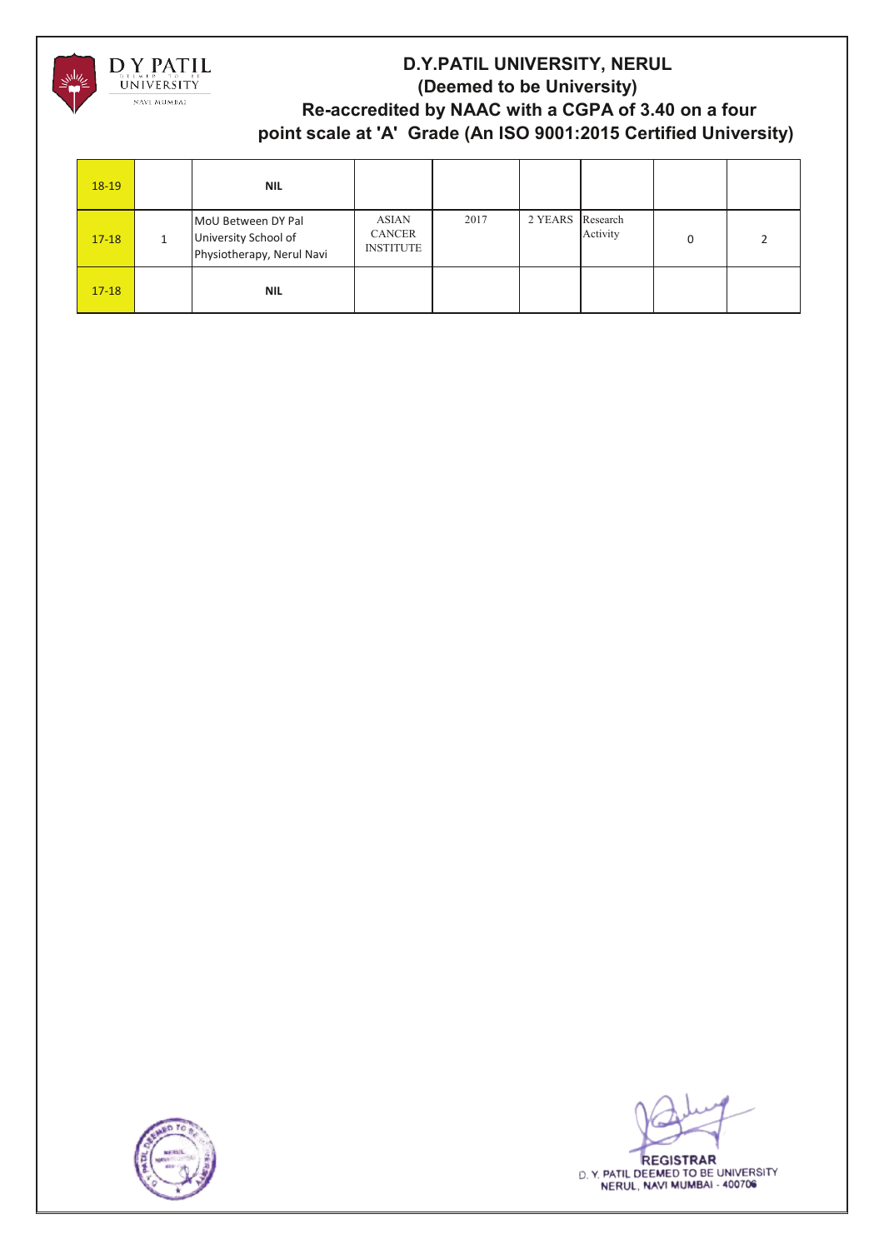

| $18-19$   | <b>NIL</b>                                                              |                                            |      |                  |          |   |  |
|-----------|-------------------------------------------------------------------------|--------------------------------------------|------|------------------|----------|---|--|
| $17 - 18$ | MoU Between DY Pal<br>University School of<br>Physiotherapy, Nerul Navi | ASIAN<br><b>CANCER</b><br><b>INSTITUTE</b> | 2017 | 2 YEARS Research | Activity | 0 |  |
| $17 - 18$ | <b>NIL</b>                                                              |                                            |      |                  |          |   |  |



**REGISTRAR** D. Y. PATIL DEEMED TO BE UNIVERSITY NERUL, NAVI MUMBAI - 400706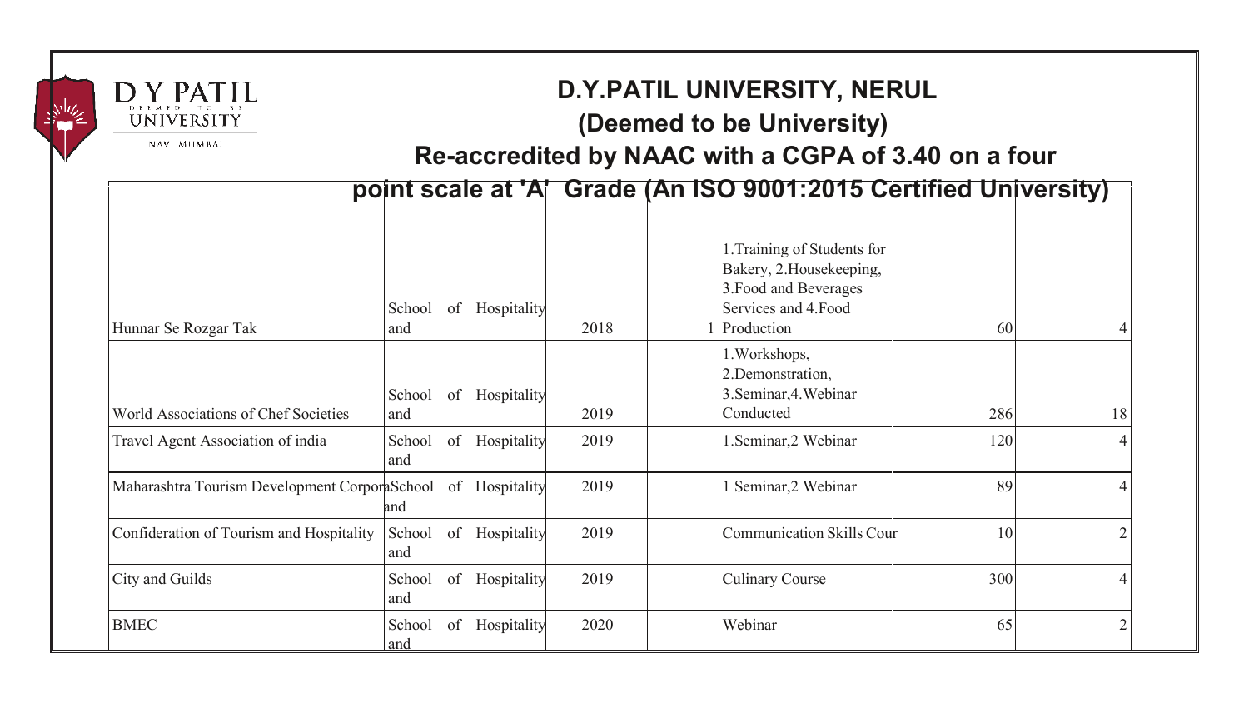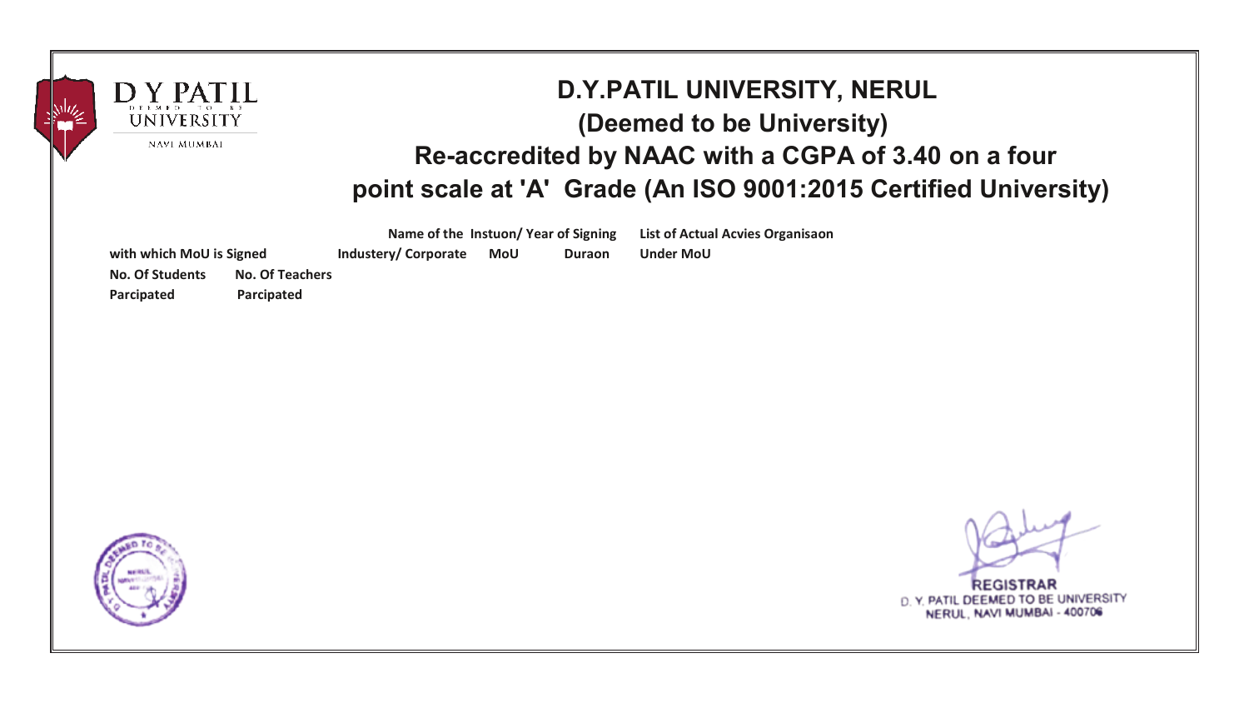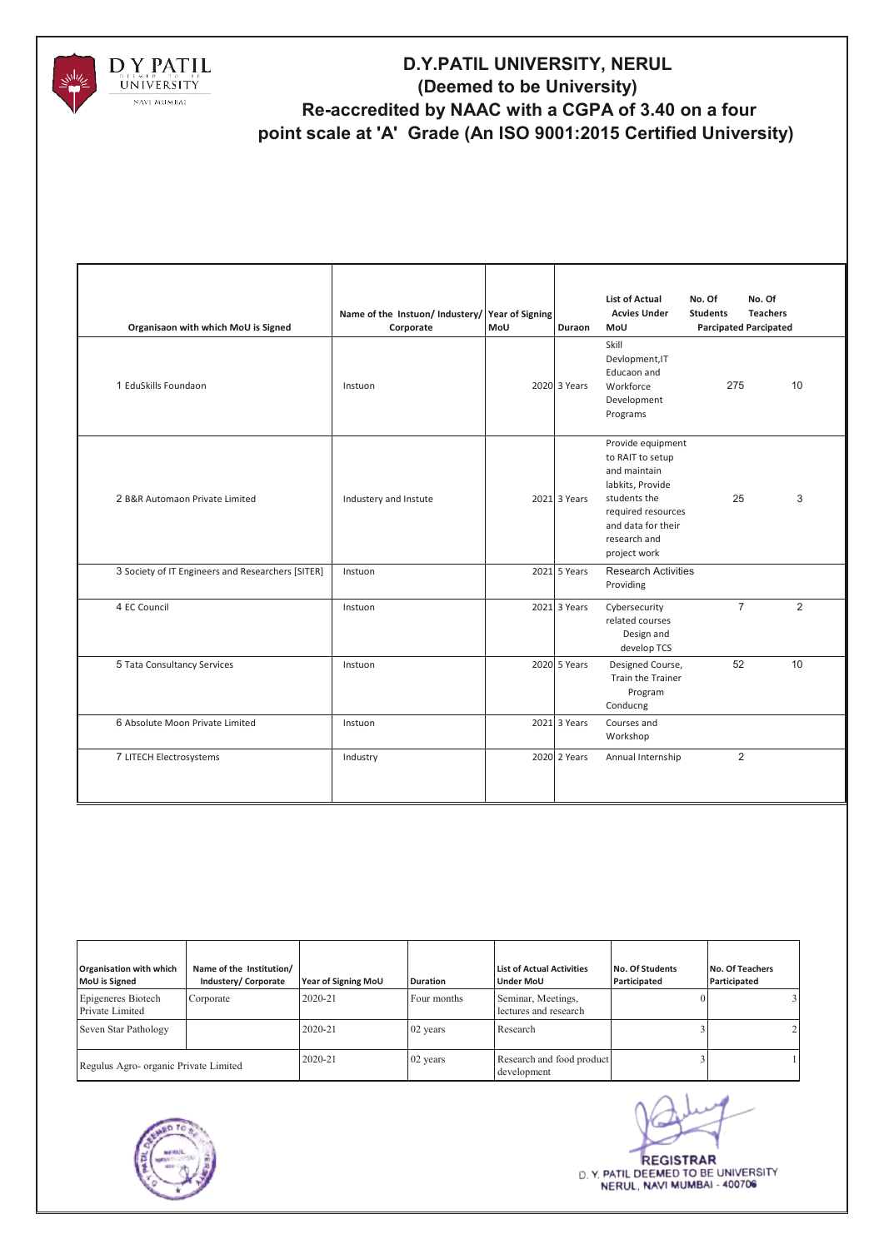

| Organisaon with which MoU is Signed<br>1 EduSkills Foundaon | Name of the Instuon/Industery/Year of Signing<br>Corporate<br>Instuon | MoU | Duraon<br>2020 3 Years | <b>List of Actual</b><br><b>Acvies Under</b><br>MoU<br>Skill<br>Devlopment, IT<br>Educaon and<br>Workforce<br>Development<br>Programs                                 | No. Of<br><b>Students</b><br>275 | No. Of<br><b>Teachers</b><br><b>Parcipated Parcipated</b><br>10 |
|-------------------------------------------------------------|-----------------------------------------------------------------------|-----|------------------------|-----------------------------------------------------------------------------------------------------------------------------------------------------------------------|----------------------------------|-----------------------------------------------------------------|
| 2 B&R Automaon Private Limited                              | Industery and Instute                                                 |     | 2021 3 Years           | Provide equipment<br>to RAIT to setup<br>and maintain<br>labkits, Provide<br>students the<br>required resources<br>and data for their<br>research and<br>project work | 25                               | 3                                                               |
| 3 Society of IT Engineers and Researchers [SITER]           | Instuon                                                               |     | 2021 5 Years           | <b>Research Activities</b><br>Providing                                                                                                                               |                                  |                                                                 |
| 4 EC Council                                                | Instuon                                                               |     | 2021 3 Years           | Cybersecurity<br>related courses<br>Design and<br>develop TCS                                                                                                         | $\overline{7}$                   | $\overline{2}$                                                  |
| 5 Tata Consultancy Services                                 | Instuon                                                               |     | 2020 5 Years           | Designed Course,<br>Train the Trainer<br>Program<br>Conducng                                                                                                          | 52                               | 10                                                              |
| 6 Absolute Moon Private Limited                             | Instuon                                                               |     | 2021 3 Years           | Courses and<br>Workshop                                                                                                                                               |                                  |                                                                 |
| 7 LITECH Electrosystems                                     | Industry                                                              |     | 2020 2 Years           | Annual Internship                                                                                                                                                     | 2                                |                                                                 |

| Organisation with which<br>MoU is Signed | Name of the Institution/<br>Industery/ Corporate | <b>Year of Signing MoU</b> | <b>Duration</b> | <b>List of Actual Activities</b><br><b>Under MoU</b> | No. Of Students<br>Participated | No. Of Teachers<br>Participated |
|------------------------------------------|--------------------------------------------------|----------------------------|-----------------|------------------------------------------------------|---------------------------------|---------------------------------|
| Epigeneres Biotech<br>Private Limited    | Corporate                                        | 2020-21                    | Four months     | Seminar, Meetings,<br>lectures and research          |                                 |                                 |
| Seven Star Pathology                     |                                                  | 2020-21                    | 02 years        | Research                                             |                                 |                                 |
| Regulus Agro- organic Private Limited    |                                                  | 2020-21                    | 02 years        | Research and food product<br>development             |                                 |                                 |



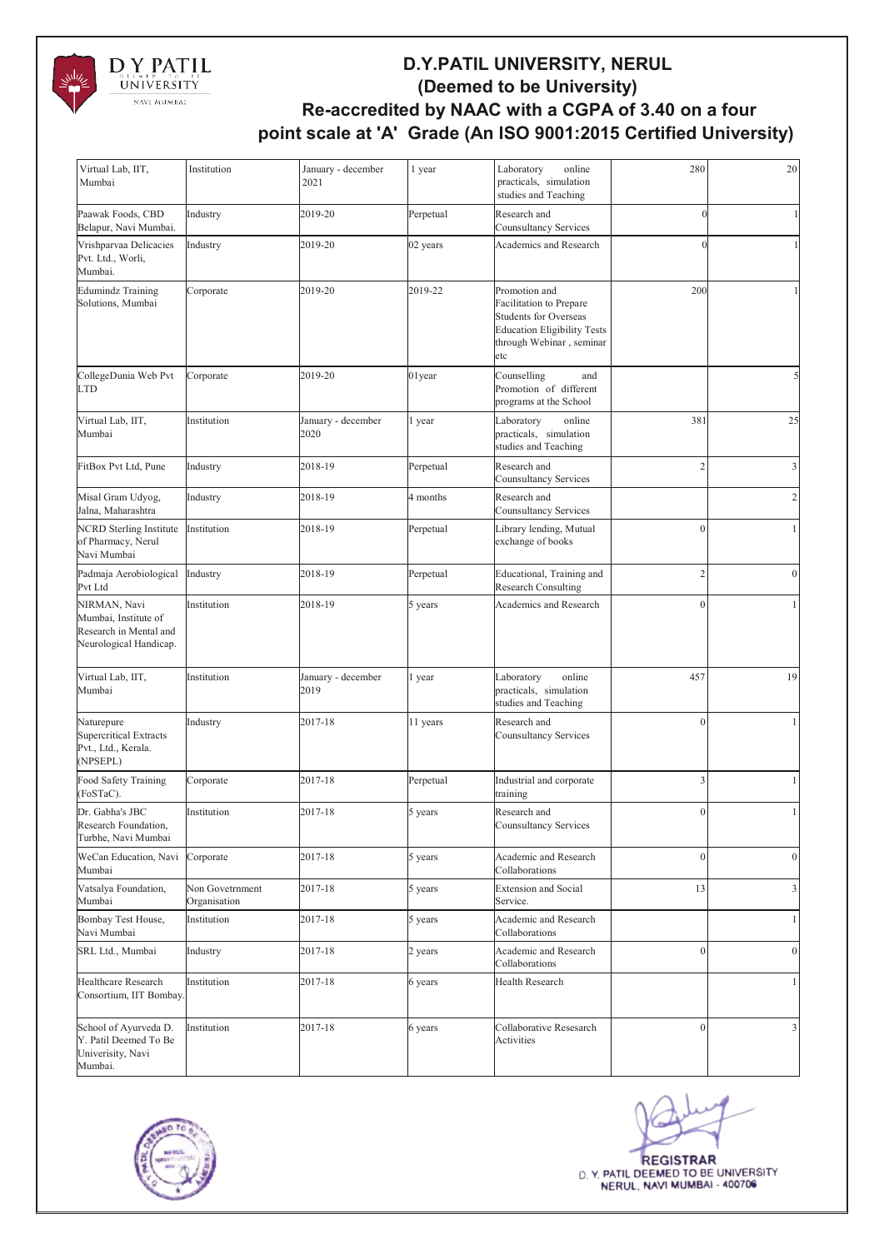

| Virtual Lab, IIT,<br>Mumbai                                                              | Institution                     | January - december<br>2021 | 1 year    | Laboratory<br>online<br>practicals, simulation<br>studies and Teaching                                                                            | 280            | 20               |
|------------------------------------------------------------------------------------------|---------------------------------|----------------------------|-----------|---------------------------------------------------------------------------------------------------------------------------------------------------|----------------|------------------|
| Paawak Foods, CBD<br>Belapur, Navi Mumbai.                                               | Industry                        | 2019-20                    | Perpetual | Research and<br><b>Counsultancy Services</b>                                                                                                      |                |                  |
| Vrishparvaa Delicacies<br>Pvt. Ltd., Worli,<br>Mumbai.                                   | Industry                        | 2019-20                    | 02 years  | Academics and Research                                                                                                                            |                |                  |
| <b>Edumindz Training</b><br>Solutions, Mumbai                                            | Corporate                       | 2019-20                    | 2019-22   | Promotion and<br>Facilitation to Prepare<br><b>Students for Overseas</b><br><b>Education Eligibility Tests</b><br>through Webinar, seminar<br>etc | 200            |                  |
| CollegeDunia Web Pvt<br><b>LTD</b>                                                       | Corporate                       | 2019-20                    | $01$ year | Counselling<br>and<br>Promotion of different<br>programs at the School                                                                            |                |                  |
| Virtual Lab, IIT,<br>Mumbai                                                              | Institution                     | January - december<br>2020 | l year    | Laboratory<br>online<br>practicals, simulation<br>studies and Teaching                                                                            | 381            | 25               |
| FitBox Pvt Ltd, Pune                                                                     | Industry                        | 2018-19                    | Perpetual | Research and<br>Counsultancy Services                                                                                                             | $\overline{c}$ | $\mathfrak{Z}$   |
| Misal Gram Udyog,<br>Jalna, Maharashtra                                                  | Industry                        | 2018-19                    | 4 months  | Research and<br>Counsultancy Services                                                                                                             |                | $\sqrt{2}$       |
| <b>NCRD</b> Sterling Institute<br>of Pharmacy, Nerul<br>Navi Mumbai                      | Institution                     | 2018-19                    | Perpetual | Library lending, Mutual<br>exchange of books                                                                                                      | $\mathbf{0}$   | 1                |
| Padmaja Aerobiological<br>Pvt Ltd                                                        | Industry                        | 2018-19                    | Perpetual | Educational, Training and<br><b>Research Consulting</b>                                                                                           | $\overline{2}$ | $\mathbf{0}$     |
| NIRMAN, Navi<br>Mumbai, Institute of<br>Research in Mental and<br>Neurological Handicap. | Institution                     | 2018-19                    | 5 years   | Academics and Research                                                                                                                            | $\sqrt{ }$     |                  |
| Virtual Lab, IIT,<br>Mumbai                                                              | Institution                     | January - december<br>2019 | l year    | online<br>Laboratory<br>practicals, simulation<br>studies and Teaching                                                                            | 457            | 19               |
| Naturepure<br><b>Supercritical Extracts</b><br>Pvt., Ltd., Kerala.<br>(NPSEPL)           | Industry                        | 2017-18                    | 11 years  | Research and<br>Counsultancy Services                                                                                                             | $\theta$       |                  |
| Food Safety Training<br>(FoSTaC).                                                        | Corporate                       | 2017-18                    | Perpetual | Industrial and corporate<br>training                                                                                                              | 3              | 1                |
| Dr. Gabha's JBC<br>Research Foundation,<br>Turbhe, Navi Mumbai                           | Institution                     | 2017-18                    | 5 years   | Research and<br>Counsultancy Services                                                                                                             | $\mathbf{0}$   | -1               |
| WeCan Education, Navi<br>Mumbai                                                          | Corporate                       | 2017-18                    | 5 years   | Academic and Research<br>Collaborations                                                                                                           | $\mathbf{0}$   | $\boldsymbol{0}$ |
| Vatsalya Foundation,<br>Mumbai                                                           | Non Govetrnment<br>Organisation | 2017-18                    | 5 years   | <b>Extension and Social</b><br>Service.                                                                                                           | 13             | 3                |
| Bombay Test House,<br>Navi Mumbai                                                        | Institution                     | 2017-18                    | 5 years   | Academic and Research<br>Collaborations                                                                                                           |                | $\mathbf{1}$     |
| SRL Ltd., Mumbai                                                                         | Industry                        | 2017-18                    | 2 years   | Academic and Research<br>Collaborations                                                                                                           | $\mathbf{0}$   | $\boldsymbol{0}$ |
| Healthcare Research<br>Consortium, IIT Bombay.                                           | Institution                     | 2017-18                    | 6 years   | Health Research                                                                                                                                   |                | 1                |
| School of Ayurveda D.<br>Y. Patil Deemed To Be<br>Univerisity, Navi<br>Mumbai.           | Institution                     | 2017-18                    | 6 years   | Collaborative Resesarch<br>Activities                                                                                                             | $\mathbf{0}$   | 3                |



**REGISTRAR** D. Y. PATIL DEEMED TO BE UNIVERSITY NERUL, NAVI MUMBAI - 400706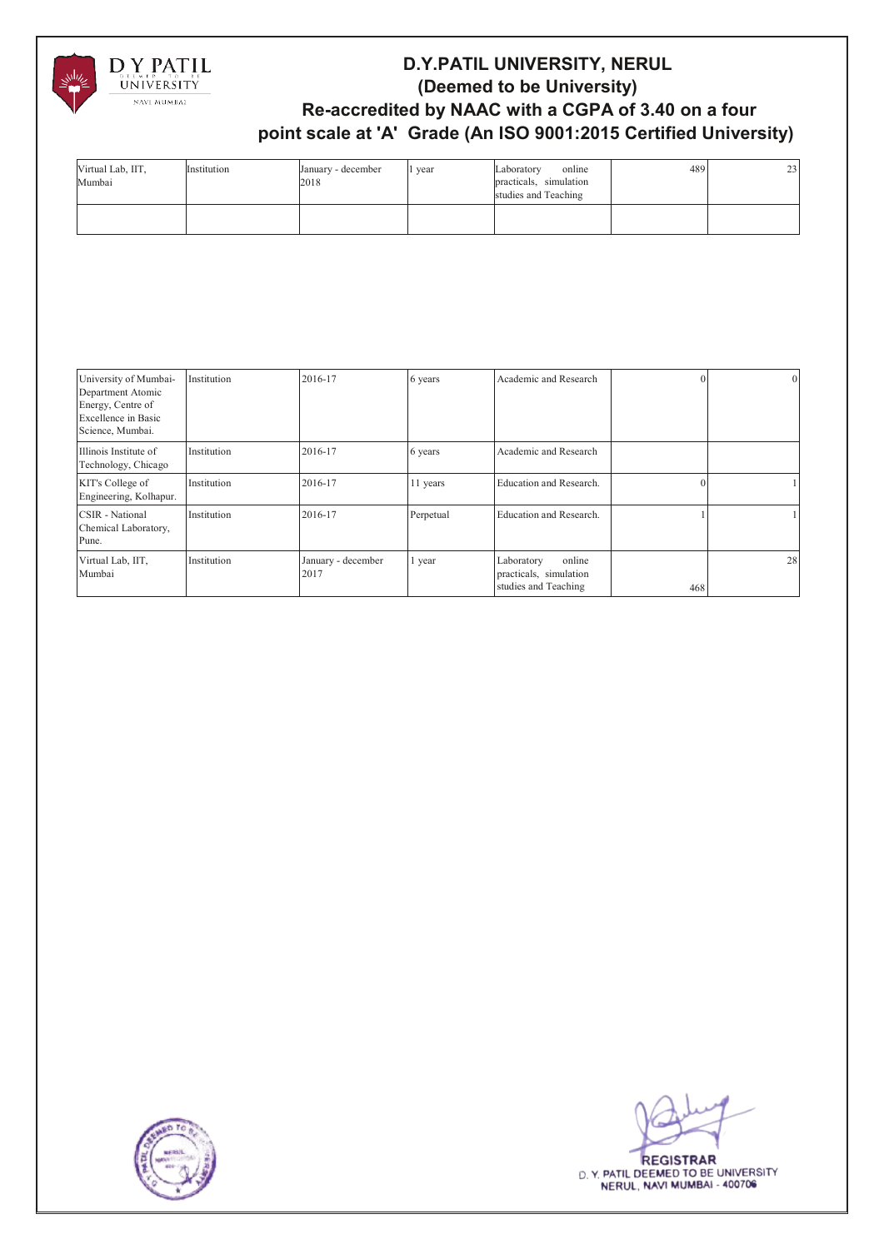

| Virtual Lab, IIT,<br>Mumbai | Institution | January - december<br>2018 | year | online<br>Laboratory<br>practicals, simulation<br>studies and Teaching | 489 | 23 |
|-----------------------------|-------------|----------------------------|------|------------------------------------------------------------------------|-----|----|
|                             |             |                            |      |                                                                        |     |    |

| University of Mumbai-<br>Department Atomic<br>Energy, Centre of<br>Excellence in Basic<br>Science, Mumbai. | Institution | 2016-17                    | 6 years   | Academic and Research                                                  |     | $\overline{0}$ |
|------------------------------------------------------------------------------------------------------------|-------------|----------------------------|-----------|------------------------------------------------------------------------|-----|----------------|
| Illinois Institute of<br>Technology, Chicago                                                               | Institution | 2016-17                    | 6 years   | Academic and Research                                                  |     |                |
| KIT's College of<br>Engineering, Kolhapur.                                                                 | Institution | 2016-17                    | 11 years  | Education and Research.                                                |     |                |
| CSIR - National<br>Chemical Laboratory,<br>Pune.                                                           | Institution | 2016-17                    | Perpetual | Education and Research.                                                |     |                |
| Virtual Lab, IIT,<br>Mumbai                                                                                | Institution | January - december<br>2017 | 1 year    | online<br>Laboratory<br>practicals, simulation<br>studies and Teaching | 468 | 28             |



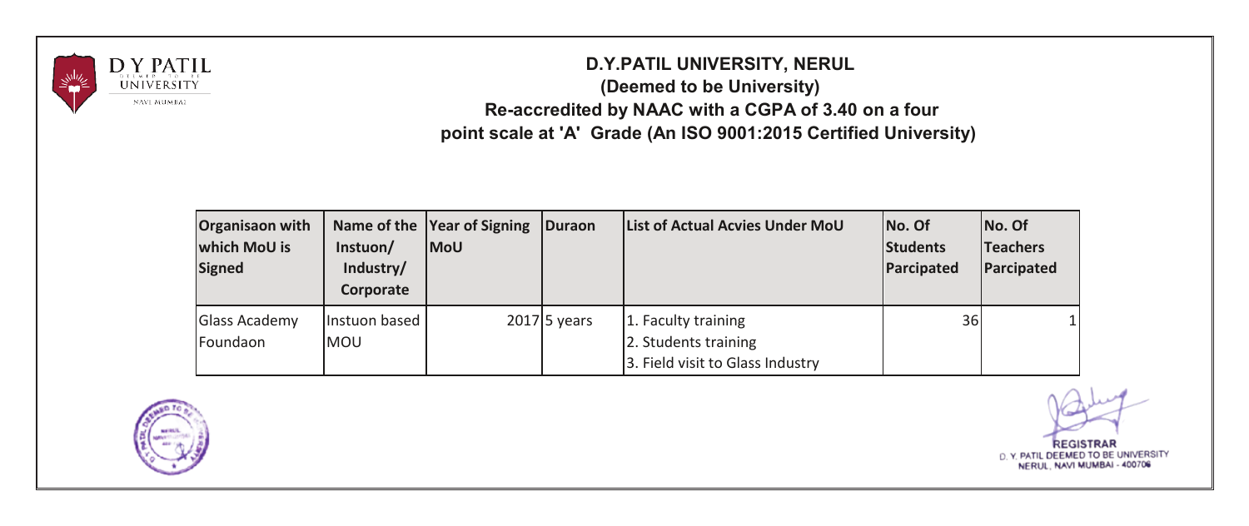

| Organisaon with<br>which MoU is<br><b>Signed</b> | Instuon/<br>Industry/<br>Corporate | Name of the Year of Signing<br><b>MoU</b> | <b>IDuraon</b> | List of Actual Acvies Under MoU                                                 | No. Of<br>Students<br>Parcipated | No. Of<br><b>Teachers</b><br>Parcipated |
|--------------------------------------------------|------------------------------------|-------------------------------------------|----------------|---------------------------------------------------------------------------------|----------------------------------|-----------------------------------------|
| <b>Glass Academy</b><br>Foundaon                 | Instuon based<br><b>IMOU</b>       |                                           | $2017$ 5 years | 1. Faculty training<br>2. Students training<br>3. Field visit to Glass Industry | 36                               |                                         |



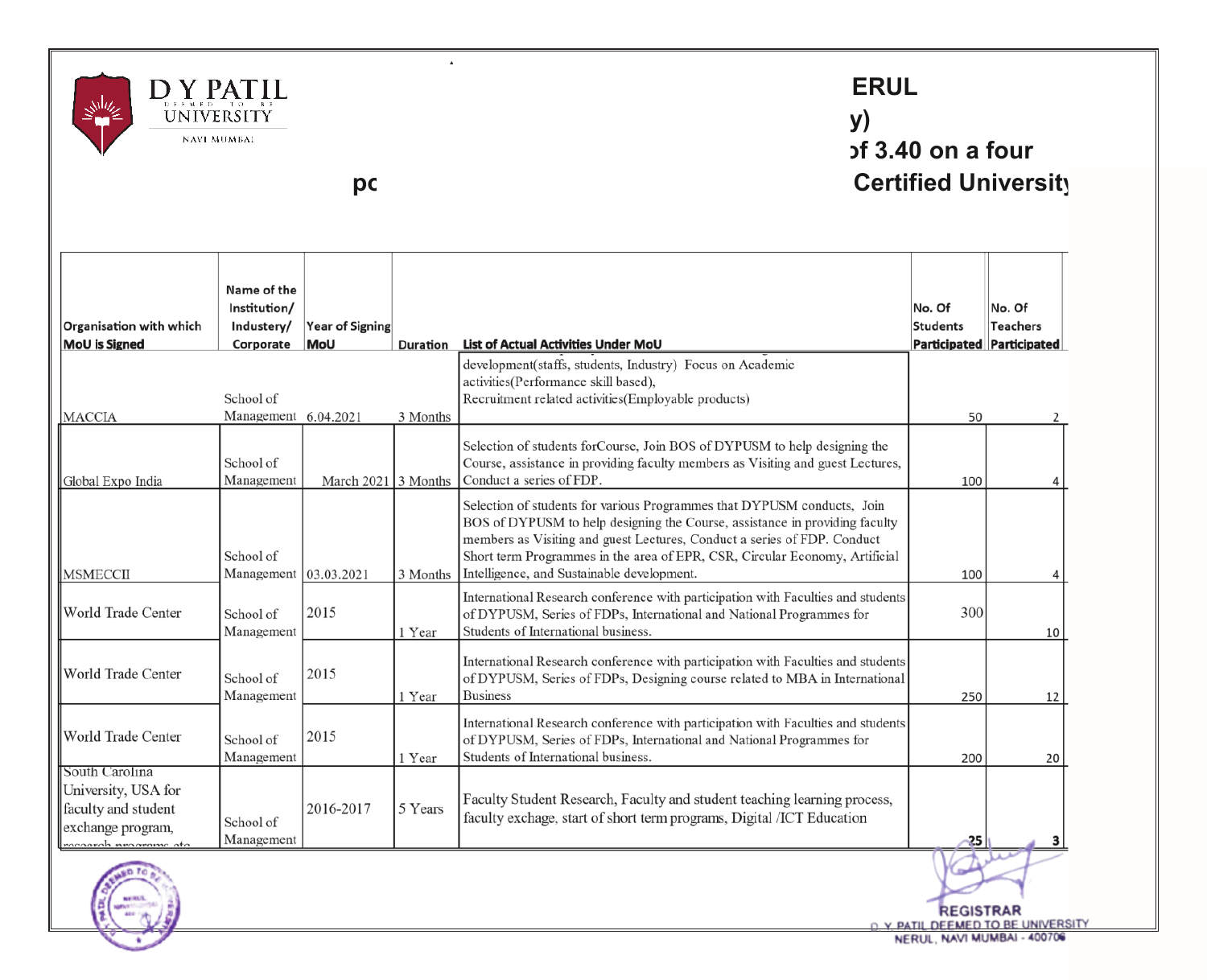

### **ERUL (Deemed to be University) pf** 3.40 **on a four pc b produce at the scale at the contract Certified University**

 $\lambda$ 

|                                                                                                           | Name of the                                |                                      |          |                                                                                                                                                                                                                                                                                                                                                                 |                           |                                  |
|-----------------------------------------------------------------------------------------------------------|--------------------------------------------|--------------------------------------|----------|-----------------------------------------------------------------------------------------------------------------------------------------------------------------------------------------------------------------------------------------------------------------------------------------------------------------------------------------------------------------|---------------------------|----------------------------------|
| Organisation with which                                                                                   | Institution/                               |                                      |          |                                                                                                                                                                                                                                                                                                                                                                 | No. Of<br><b>Students</b> | No. Of<br><b>Teachers</b>        |
| <b>MoU</b> is Signed                                                                                      | Industery/<br>Corporate                    | <b>Year of Signing</b><br><b>MoU</b> | Duration | List of Actual Activities Under MoU                                                                                                                                                                                                                                                                                                                             |                           | <b>Participated Participated</b> |
| <b>MACCIA</b>                                                                                             | School of<br>Management 6.04.2021          |                                      | 3 Months | development(staffs, students, Industry) Focus on Academic<br>activities(Performance skill based),<br>Recruitment related activities (Employable products)                                                                                                                                                                                                       | 50                        |                                  |
| Global Expo India                                                                                         | School of<br>Management                    | March $2021$ 3 Months                |          | Selection of students forCourse, Join BOS of DYPUSM to help designing the<br>Course, assistance in providing faculty members as Visiting and guest Lectures,<br>Conduct a series of FDP.                                                                                                                                                                        | 100                       | 4                                |
| <b>MSMECCII</b>                                                                                           | School of<br>Management $\vert 03.03.2021$ |                                      | 3 Months | Selection of students for various Programmes that DYPUSM conducts, Join<br>BOS of DYPUSM to help designing the Course, assistance in providing faculty<br>members as Visiting and guest Lectures, Conduct a series of FDP. Conduct<br>Short term Programmes in the area of EPR, CSR, Circular Economy, Artificial<br>Intelligence, and Sustainable development. | 100                       | $\overline{4}$                   |
| World Trade Center                                                                                        | School of<br>Management                    | 2015                                 | 1 Year   | International Research conference with participation with Faculties and students<br>of DYPUSM, Series of FDPs, International and National Programmes for<br>Students of International business.                                                                                                                                                                 | 300                       | 10 <sup>1</sup>                  |
| World Trade Center                                                                                        | School of<br>Management                    | 2015                                 | 1 Year   | International Research conference with participation with Faculties and students<br>of DYPUSM, Series of FDPs, Designing course related to MBA in International<br><b>Business</b>                                                                                                                                                                              | 250                       | 12                               |
| World Trade Center                                                                                        | School of<br>Management                    | 2015                                 | 1 Year   | International Research conference with participation with Faculties and students<br>of DYPUSM, Series of FDPs, International and National Programmes for<br>Students of International business.                                                                                                                                                                 | 200                       | 20                               |
| South Carolina<br>University, USA for<br>faculty and student<br>exchange program.<br>nananah neaamana ata | School of<br>Management                    | 2016-2017                            | 5 Years  | Faculty Student Research, Faculty and student teaching learning process,<br>faculty exchage, start of short term programs, Digital /ICT Education                                                                                                                                                                                                               | $-25$                     |                                  |



**REGISTRAR** O Y PATIL DEEMED TO BE UNIVERSITY NERUL, NAVI MUMBAI - 400706